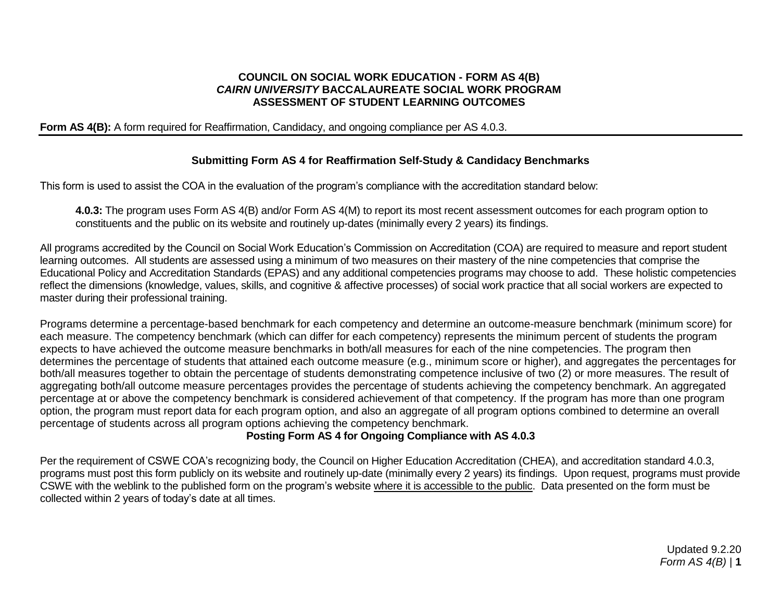#### **COUNCIL ON SOCIAL WORK EDUCATION - FORM AS 4(B)** *CAIRN UNIVERSITY* **BACCALAUREATE SOCIAL WORK PROGRAM ASSESSMENT OF STUDENT LEARNING OUTCOMES**

### **Form AS 4(B):** A form required for Reaffirmation, Candidacy, and ongoing compliance per AS 4.0.3.

### **Submitting Form AS 4 for Reaffirmation Self-Study & Candidacy Benchmarks**

This form is used to assist the COA in the evaluation of the program's compliance with the accreditation standard below:

**4.0.3:** The program uses Form AS 4(B) and/or Form AS 4(M) to report its most recent assessment outcomes for each program option to constituents and the public on its website and routinely up-dates (minimally every 2 years) its findings.

All programs accredited by the Council on Social Work Education's Commission on Accreditation (COA) are required to measure and report student learning outcomes. All students are assessed using a minimum of two measures on their mastery of the nine competencies that comprise the Educational Policy and Accreditation Standards (EPAS) and any additional competencies programs may choose to add. These holistic competencies reflect the dimensions (knowledge, values, skills, and cognitive & affective processes) of social work practice that all social workers are expected to master during their professional training.

Programs determine a percentage-based benchmark for each competency and determine an outcome-measure benchmark (minimum score) for each measure. The competency benchmark (which can differ for each competency) represents the minimum percent of students the program expects to have achieved the outcome measure benchmarks in both/all measures for each of the nine competencies. The program then determines the percentage of students that attained each outcome measure (e.g., minimum score or higher), and aggregates the percentages for both/all measures together to obtain the percentage of students demonstrating competence inclusive of two (2) or more measures. The result of aggregating both/all outcome measure percentages provides the percentage of students achieving the competency benchmark. An aggregated percentage at or above the competency benchmark is considered achievement of that competency. If the program has more than one program option, the program must report data for each program option, and also an aggregate of all program options combined to determine an overall percentage of students across all program options achieving the competency benchmark.

### **Posting Form AS 4 for Ongoing Compliance with AS 4.0.3**

Per the requirement of CSWE COA's recognizing body, the Council on Higher Education Accreditation (CHEA), and accreditation standard 4.0.3, programs must post this form publicly on its website and routinely up-date (minimally every 2 years) its findings. Upon request, programs must provide CSWE with the weblink to the published form on the program's website where it is accessible to the public. Data presented on the form must be collected within 2 years of today's date at all times.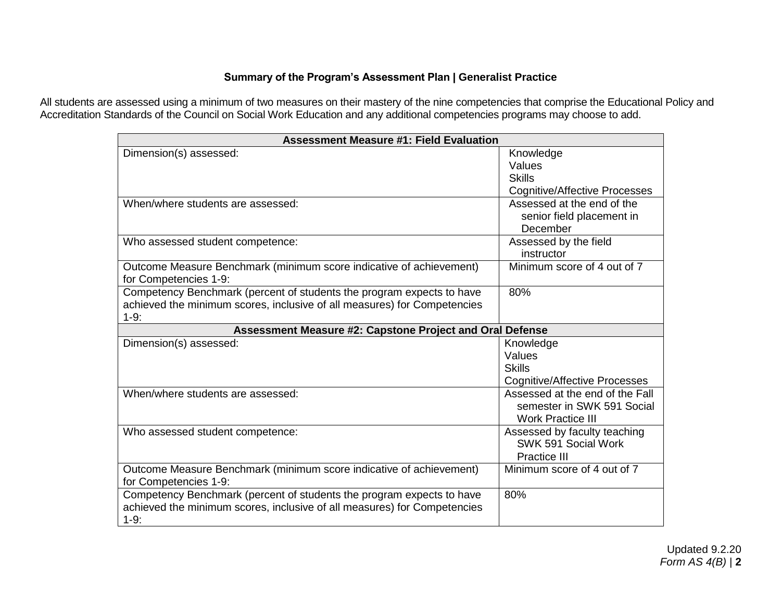## **Summary of the Program's Assessment Plan | Generalist Practice**

All students are assessed using a minimum of two measures on their mastery of the nine competencies that comprise the Educational Policy and Accreditation Standards of the Council on Social Work Education and any additional competencies programs may choose to add.

| <b>Assessment Measure #1: Field Evaluation</b>                                                                                                              |                                                                                           |  |  |
|-------------------------------------------------------------------------------------------------------------------------------------------------------------|-------------------------------------------------------------------------------------------|--|--|
| Dimension(s) assessed:                                                                                                                                      | Knowledge<br>Values<br><b>Skills</b><br><b>Cognitive/Affective Processes</b>              |  |  |
| When/where students are assessed:                                                                                                                           | Assessed at the end of the<br>senior field placement in<br>December                       |  |  |
| Who assessed student competence:                                                                                                                            | Assessed by the field<br>instructor                                                       |  |  |
| Outcome Measure Benchmark (minimum score indicative of achievement)<br>for Competencies 1-9:                                                                | Minimum score of 4 out of 7                                                               |  |  |
| Competency Benchmark (percent of students the program expects to have<br>achieved the minimum scores, inclusive of all measures) for Competencies<br>$1-9:$ | 80%                                                                                       |  |  |
| Assessment Measure #2: Capstone Project and Oral Defense                                                                                                    |                                                                                           |  |  |
| Dimension(s) assessed:                                                                                                                                      | Knowledge<br>Values<br><b>Skills</b><br><b>Cognitive/Affective Processes</b>              |  |  |
| When/where students are assessed:                                                                                                                           | Assessed at the end of the Fall<br>semester in SWK 591 Social<br><b>Work Practice III</b> |  |  |
| Who assessed student competence:                                                                                                                            | Assessed by faculty teaching<br>SWK 591 Social Work<br><b>Practice III</b>                |  |  |
| Outcome Measure Benchmark (minimum score indicative of achievement)<br>for Competencies 1-9:                                                                | Minimum score of 4 out of 7                                                               |  |  |
| Competency Benchmark (percent of students the program expects to have<br>achieved the minimum scores, inclusive of all measures) for Competencies<br>$1-9:$ | 80%                                                                                       |  |  |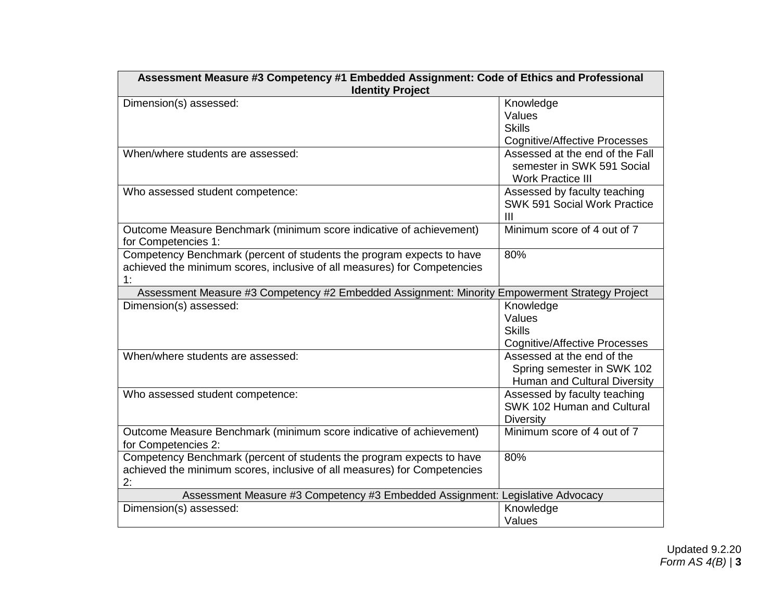| Assessment Measure #3 Competency #1 Embedded Assignment: Code of Ethics and Professional       |                                                                                           |  |
|------------------------------------------------------------------------------------------------|-------------------------------------------------------------------------------------------|--|
| <b>Identity Project</b>                                                                        |                                                                                           |  |
| Dimension(s) assessed:                                                                         | Knowledge                                                                                 |  |
|                                                                                                | Values                                                                                    |  |
|                                                                                                | <b>Skills</b>                                                                             |  |
|                                                                                                | <b>Cognitive/Affective Processes</b>                                                      |  |
| When/where students are assessed:                                                              | Assessed at the end of the Fall<br>semester in SWK 591 Social<br><b>Work Practice III</b> |  |
| Who assessed student competence:                                                               | Assessed by faculty teaching                                                              |  |
|                                                                                                | <b>SWK 591 Social Work Practice</b>                                                       |  |
|                                                                                                | $\mathbf{III}$                                                                            |  |
| Outcome Measure Benchmark (minimum score indicative of achievement)<br>for Competencies 1:     | Minimum score of 4 out of 7                                                               |  |
| Competency Benchmark (percent of students the program expects to have                          | 80%                                                                                       |  |
| achieved the minimum scores, inclusive of all measures) for Competencies                       |                                                                                           |  |
| 1:                                                                                             |                                                                                           |  |
| Assessment Measure #3 Competency #2 Embedded Assignment: Minority Empowerment Strategy Project |                                                                                           |  |
| Dimension(s) assessed:                                                                         | Knowledge                                                                                 |  |
|                                                                                                | Values                                                                                    |  |
|                                                                                                | <b>Skills</b>                                                                             |  |
|                                                                                                | <b>Cognitive/Affective Processes</b>                                                      |  |
| When/where students are assessed:                                                              | Assessed at the end of the                                                                |  |
|                                                                                                | Spring semester in SWK 102                                                                |  |
|                                                                                                | Human and Cultural Diversity                                                              |  |
| Who assessed student competence:                                                               | Assessed by faculty teaching                                                              |  |
|                                                                                                | SWK 102 Human and Cultural                                                                |  |
|                                                                                                | <b>Diversity</b>                                                                          |  |
| Outcome Measure Benchmark (minimum score indicative of achievement)                            | Minimum score of 4 out of 7                                                               |  |
| for Competencies 2:                                                                            |                                                                                           |  |
| Competency Benchmark (percent of students the program expects to have                          | 80%                                                                                       |  |
| achieved the minimum scores, inclusive of all measures) for Competencies                       |                                                                                           |  |
| 2:                                                                                             |                                                                                           |  |
| Assessment Measure #3 Competency #3 Embedded Assignment: Legislative Advocacy                  |                                                                                           |  |
| Dimension(s) assessed:                                                                         | Knowledge                                                                                 |  |
|                                                                                                | Values                                                                                    |  |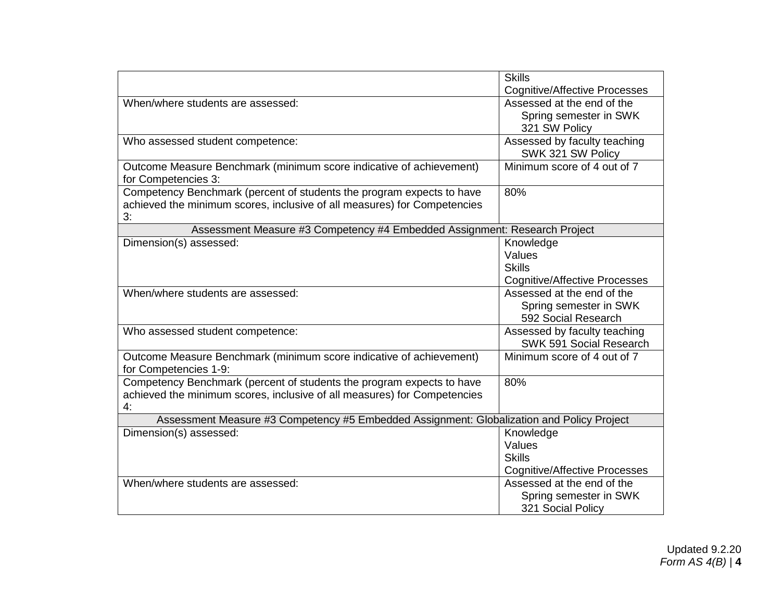|                                                                                           | <b>Skills</b>                        |
|-------------------------------------------------------------------------------------------|--------------------------------------|
|                                                                                           | <b>Cognitive/Affective Processes</b> |
| When/where students are assessed:                                                         | Assessed at the end of the           |
|                                                                                           | Spring semester in SWK               |
|                                                                                           | 321 SW Policy                        |
| Who assessed student competence:                                                          | Assessed by faculty teaching         |
|                                                                                           | SWK 321 SW Policy                    |
| Outcome Measure Benchmark (minimum score indicative of achievement)                       | Minimum score of 4 out of 7          |
| for Competencies 3:                                                                       |                                      |
| Competency Benchmark (percent of students the program expects to have                     | 80%                                  |
| achieved the minimum scores, inclusive of all measures) for Competencies                  |                                      |
| 3:                                                                                        |                                      |
| Assessment Measure #3 Competency #4 Embedded Assignment: Research Project                 |                                      |
| Dimension(s) assessed:                                                                    | Knowledge                            |
|                                                                                           | Values                               |
|                                                                                           | <b>Skills</b>                        |
|                                                                                           | <b>Cognitive/Affective Processes</b> |
| When/where students are assessed:                                                         | Assessed at the end of the           |
|                                                                                           | Spring semester in SWK               |
|                                                                                           | 592 Social Research                  |
| Who assessed student competence:                                                          | Assessed by faculty teaching         |
|                                                                                           | SWK 591 Social Research              |
| Outcome Measure Benchmark (minimum score indicative of achievement)                       | Minimum score of 4 out of 7          |
| for Competencies 1-9:                                                                     |                                      |
| Competency Benchmark (percent of students the program expects to have                     | 80%                                  |
| achieved the minimum scores, inclusive of all measures) for Competencies                  |                                      |
| 4:                                                                                        |                                      |
| Assessment Measure #3 Competency #5 Embedded Assignment: Globalization and Policy Project |                                      |
| Dimension(s) assessed:                                                                    | Knowledge                            |
|                                                                                           | Values                               |
|                                                                                           | <b>Skills</b>                        |
|                                                                                           | <b>Cognitive/Affective Processes</b> |
| When/where students are assessed:                                                         | Assessed at the end of the           |
|                                                                                           | Spring semester in SWK               |
|                                                                                           | 321 Social Policy                    |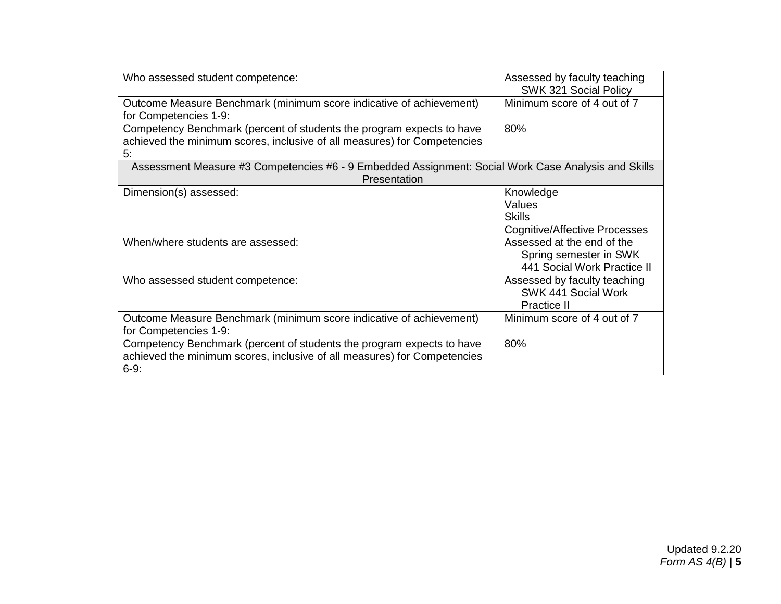| Who assessed student competence:                                                                                                                            | Assessed by faculty teaching<br>SWK 321 Social Policy                               |  |  |
|-------------------------------------------------------------------------------------------------------------------------------------------------------------|-------------------------------------------------------------------------------------|--|--|
| Outcome Measure Benchmark (minimum score indicative of achievement)<br>for Competencies 1-9:                                                                | Minimum score of 4 out of 7                                                         |  |  |
| Competency Benchmark (percent of students the program expects to have<br>achieved the minimum scores, inclusive of all measures) for Competencies<br>5:     | 80%                                                                                 |  |  |
| Assessment Measure #3 Competencies #6 - 9 Embedded Assignment: Social Work Case Analysis and Skills<br>Presentation                                         |                                                                                     |  |  |
| Dimension(s) assessed:                                                                                                                                      | Knowledge<br>Values<br><b>Skills</b><br><b>Cognitive/Affective Processes</b>        |  |  |
| When/where students are assessed:                                                                                                                           | Assessed at the end of the<br>Spring semester in SWK<br>441 Social Work Practice II |  |  |
| Who assessed student competence:                                                                                                                            | Assessed by faculty teaching<br>SWK 441 Social Work<br>Practice II                  |  |  |
| Outcome Measure Benchmark (minimum score indicative of achievement)<br>for Competencies 1-9:                                                                | Minimum score of 4 out of 7                                                         |  |  |
| Competency Benchmark (percent of students the program expects to have<br>achieved the minimum scores, inclusive of all measures) for Competencies<br>$6-9:$ | 80%                                                                                 |  |  |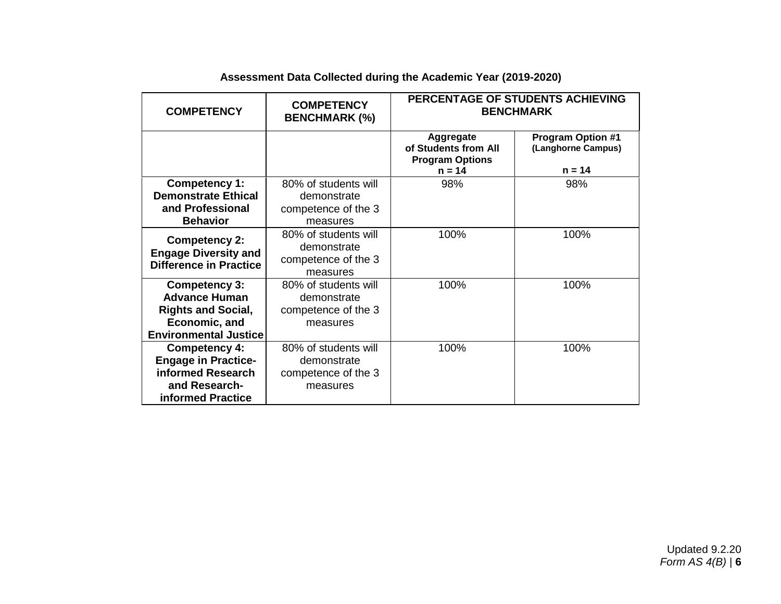| <b>COMPETENCY</b>                                                                                                          | <b>COMPETENCY</b><br><b>BENCHMARK (%)</b>                              | PERCENTAGE OF STUDENTS ACHIEVING<br><b>BENCHMARK</b>                           |                                                            |
|----------------------------------------------------------------------------------------------------------------------------|------------------------------------------------------------------------|--------------------------------------------------------------------------------|------------------------------------------------------------|
|                                                                                                                            |                                                                        | <b>Aggregate</b><br>of Students from All<br><b>Program Options</b><br>$n = 14$ | <b>Program Option #1</b><br>(Langhorne Campus)<br>$n = 14$ |
| <b>Competency 1:</b><br><b>Demonstrate Ethical</b><br>and Professional<br><b>Behavior</b>                                  | 80% of students will<br>demonstrate<br>competence of the 3<br>measures | 98%                                                                            | 98%                                                        |
| <b>Competency 2:</b><br><b>Engage Diversity and</b><br><b>Difference in Practice</b>                                       | 80% of students will<br>demonstrate<br>competence of the 3<br>measures | 100%                                                                           | 100%                                                       |
| <b>Competency 3:</b><br><b>Advance Human</b><br><b>Rights and Social,</b><br>Economic, and<br><b>Environmental Justice</b> | 80% of students will<br>demonstrate<br>competence of the 3<br>measures | 100%                                                                           | 100%                                                       |
| <b>Competency 4:</b><br><b>Engage in Practice-</b><br>informed Research<br>and Research-<br>informed Practice              | 80% of students will<br>demonstrate<br>competence of the 3<br>measures | 100%                                                                           | 100%                                                       |

# **Assessment Data Collected during the Academic Year (2019-2020)**